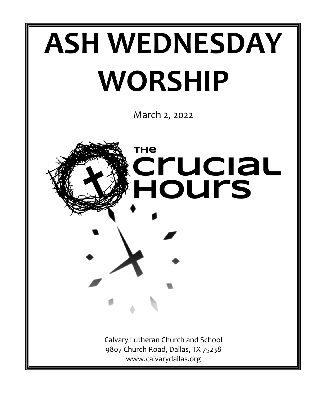

March 2, 2022

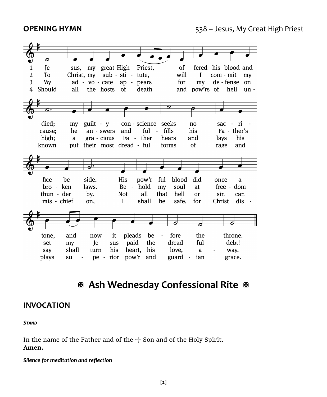

# **Ash Wednesday Confessional Rite**

# **INVOCATION**

#### *STAND*

In the name of the Father and of the  $+$  Son and of the Holy Spirit. **Amen.**

#### *Silence for meditation and reflection*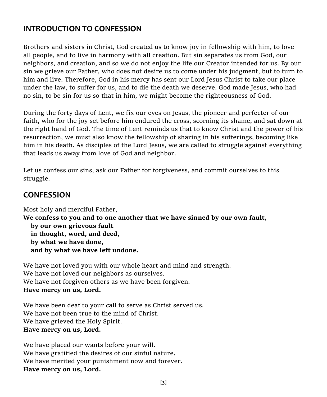# **INTRODUCTION TO CONFESSION**

Brothers and sisters in Christ, God created us to know joy in fellowship with him, to love all people, and to live in harmony with all creation. But sin separates us from God, our neighbors, and creation, and so we do not enjoy the life our Creator intended for us. By our sin we grieve our Father, who does not desire us to come under his judgment, but to turn to him and live. Therefore, God in his mercy has sent our Lord Jesus Christ to take our place under the law, to suffer for us, and to die the death we deserve. God made Jesus, who had no sin, to be sin for us so that in him, we might become the righteousness of God.

During the forty days of Lent, we fix our eyes on Jesus, the pioneer and perfecter of our faith, who for the joy set before him endured the cross, scorning its shame, and sat down at the right hand of God. The time of Lent reminds us that to know Christ and the power of his resurrection, we must also know the fellowship of sharing in his sufferings, becoming like him in his death. As disciples of the Lord Jesus, we are called to struggle against everything that leads us away from love of God and neighbor.

Let us confess our sins, ask our Father for forgiveness, and commit ourselves to this struggle.

# **CONFESSION**

Most holy and merciful Father, **We confess to you and to one another that we have sinned by our own fault, by our own grievous fault in thought, word, and deed, by what we have done, and by what we have left undone.**

We have not loved you with our whole heart and mind and strength. We have not loved our neighbors as ourselves. We have not forgiven others as we have been forgiven. **Have mercy on us, Lord.**

We have been deaf to your call to serve as Christ served us. We have not been true to the mind of Christ. We have grieved the Holy Spirit. **Have mercy on us, Lord.**

We have placed our wants before your will. We have gratified the desires of our sinful nature. We have merited your punishment now and forever. **Have mercy on us, Lord.**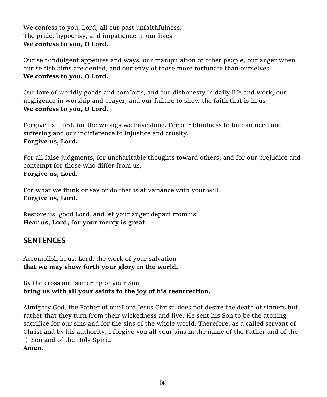We confess to you, Lord, all our past unfaithfulness. The pride, hypocrisy, and impatience in our lives **We confess to you, O Lord.**

Our self-indulgent appetites and ways, our manipulation of other people, our anger when our selfish aims are denied, and our envy of those more fortunate than ourselves **We confess to you, O Lord.**

Our love of worldly goods and comforts, and our dishonesty in daily life and work, our negligence in worship and prayer, and our failure to show the faith that is in us **We confess to you, O Lord.**

Forgive us, Lord, for the wrongs we have done. For our blindness to human need and suffering and our indifference to injustice and cruelty, **Forgive us, Lord.**

For all false judgments, for uncharitable thoughts toward others, and for our prejudice and contempt for those who differ from us, **Forgive us, Lord.**

For what we think or say or do that is at variance with your will, **Forgive us, Lord.**

Restore us, good Lord, and let your anger depart from us. **Hear us, Lord, for your mercy is great.**

# **SENTENCES**

Accomplish in us, Lord, the work of your salvation **that we may show forth your glory in the world.**

By the cross and suffering of your Son, **bring us with all your saints to the joy of his resurrection.**

Almighty God, the Father of our Lord Jesus Christ, does not desire the death of sinners but rather that they turn from their wickedness and live. He sent his Son to be the atoning sacrifice for our sins and for the sins of the whole world. Therefore, as a called servant of Christ and by his authority, I forgive you all your sins in the name of the Father and of the  $+$  Son and of the Holy Spirit.

**Amen.**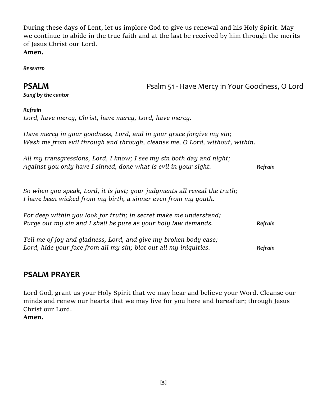During these days of Lent, let us implore God to give us renewal and his Holy Spirit. May we continue to abide in the true faith and at the last be received by him through the merits of Jesus Christ our Lord. **Amen.**

*BE SEATED*

**PSALM** PSALM **PSALM** Psalm 51 - Have Mercy in Your Goodness, O Lord

*Sung by the cantor*

#### *Refrain*

*Lord, have mercy, Christ, have mercy, Lord, have mercy.*

*Have mercy in your goodness, Lord, and in your grace forgive my sin; Wash me from evil through and through, cleanse me, O Lord, without, within.*

| All my transgressions, Lord, I know; I see my sin both day and night; |         |
|-----------------------------------------------------------------------|---------|
| Against you only have I sinned, done what is evil in your sight.      | Refrain |

*So when you speak, Lord, it is just; your judgments all reveal the truth; I have been wicked from my birth, a sinner even from my youth.*

| For deep within you look for truth; in secret make me understand;<br>Purge out my sin and I shall be pure as your holy law demands. | Refrain |
|-------------------------------------------------------------------------------------------------------------------------------------|---------|
|                                                                                                                                     |         |
| Lord, hide your face from all my sin; blot out all my iniquities.                                                                   | Refrain |

# **PSALM PRAYER**

Lord God, grant us your Holy Spirit that we may hear and believe your Word. Cleanse our minds and renew our hearts that we may live for you here and hereafter; through Jesus Christ our Lord.

**Amen.**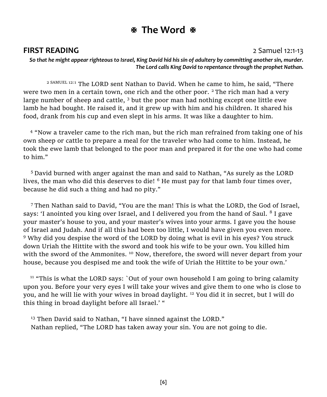# **The Word**

### **FIRST READING** 2 Samuel 12:1-13

*So that he might appear righteous to Israel, King David hid his sin of adultery by committing another sin, murder. The Lord calls King David to repentance through the prophet Nathan.*

2 SAMUEL 12:1 The LORD sent Nathan to David. When he came to him, he said, "There were two men in a certain town, one rich and the other poor,  $2$  The rich man had a very large number of sheep and cattle,  $3$  but the poor man had nothing except one little ewe lamb he had bought. He raised it, and it grew up with him and his children. It shared his food, drank from his cup and even slept in his arms. It was like a daughter to him.

<sup>4</sup> "Now a traveler came to the rich man, but the rich man refrained from taking one of his own sheep or cattle to prepare a meal for the traveler who had come to him. Instead, he took the ewe lamb that belonged to the poor man and prepared it for the one who had come to him."

<sup>5</sup>David burned with anger against the man and said to Nathan, "As surely as the LORD lives, the man who did this deserves to die! <sup>6</sup> He must pay for that lamb four times over, because he did such a thing and had no pity."

<sup>7</sup>Then Nathan said to David, "You are the man! This is what the LORD, the God of Israel, says: 'I anointed you king over Israel, and I delivered you from the hand of Saul. <sup>8</sup> I gave your master's house to you, and your master's wives into your arms. I gave you the house of Israel and Judah. And if all this had been too little, I would have given you even more. <sup>9</sup> Why did you despise the word of the LORD by doing what is evil in his eyes? You struck down Uriah the Hittite with the sword and took his wife to be your own. You killed him with the sword of the Ammonites. <sup>10</sup> Now, therefore, the sword will never depart from your house, because you despised me and took the wife of Uriah the Hittite to be your own.'

 $11$  "This is what the LORD says: `Out of your own household I am going to bring calamity upon you. Before your very eyes I will take your wives and give them to one who is close to you, and he will lie with your wives in broad daylight. <sup>12</sup> You did it in secret, but I will do this thing in broad daylight before all Israel.' "

<sup>13</sup> Then David said to Nathan, "I have sinned against the LORD." Nathan replied, "The LORD has taken away your sin. You are not going to die.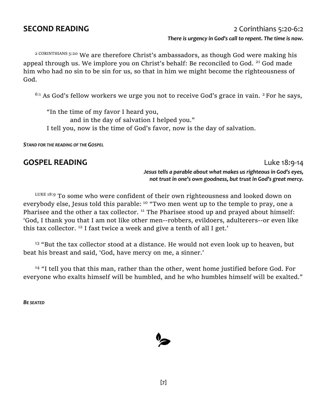## **SECOND READING** 2 Corinthians 5:20-6:2

#### *There is urgency in God's call to repent. The time is now.*

2 CORINTHIANS 5:20 We are therefore Christ's ambassadors, as though God were making his appeal through us. We implore you on Christ's behalf: Be reconciled to God. <sup>21</sup> God made him who had no sin to be sin for us, so that in him we might become the righteousness of God.

 $6:1$  As God's fellow workers we urge you not to receive God's grace in vain.  $2$  For he says,

 "In the time of my favor I heard you, and in the day of salvation I helped you." I tell you, now is the time of God's favor, now is the day of salvation.

*STAND FOR THE READING OF THE GOSPEL*

## **GOSPEL READING Luke 18:9-14**

*Jesus tells a parable about what makes us righteous in God's eyes, not trust in one's own goodness, but trust in God's great mercy.*

LUKE 18:9 To some who were confident of their own righteousness and looked down on everybody else, Jesus told this parable: <sup>10</sup> "Two men went up to the temple to pray, one a Pharisee and the other a tax collector.  $11$  The Pharisee stood up and prayed about himself: 'God, I thank you that I am not like other men--robbers, evildoers, adulterers--or even like this tax collector. <sup>12</sup> I fast twice a week and give a tenth of all I get.'

<sup>13</sup> "But the tax collector stood at a distance. He would not even look up to heaven, but beat his breast and said, 'God, have mercy on me, a sinner.'

<sup>14</sup> "I tell you that this man, rather than the other, went home justified before God. For everyone who exalts himself will be humbled, and he who humbles himself will be exalted."

*BE SEATED*

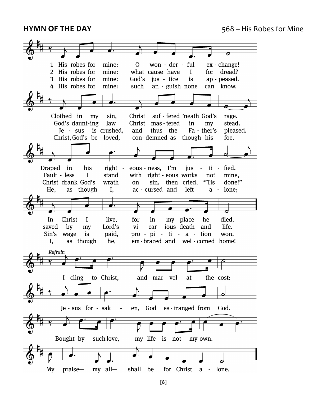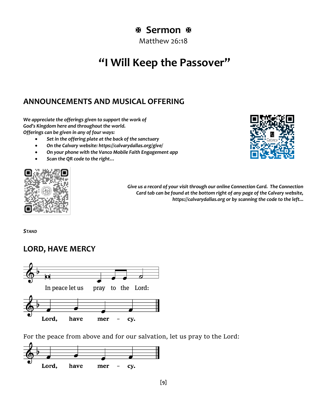# **Sermon**

Matthew 26:18

# **"I Will Keep the Passover"**

# **ANNOUNCEMENTS AND MUSICAL OFFERING**

*We appreciate the offerings given to support the work of God's Kingdom here and throughout the world. Offerings can be given in any of four ways:*

- *Set in the offering plate at the back of the sanctuary*
- *On the Calvary website: https://calvarydallas.org/give/*
- *On your phone with the Vanco Mobile Faith Engagement app*
- *Scan the QR code to the right…*





*Give us a record of your visit through our online Connection Card. The Connection Card tab can be found at the bottom right of any page of the Calvary website, https://calvarydallas.org or by scanning the code to the left...*

*STAND*

# **LORD, HAVE MERCY**



For the peace from above and for our salvation, let us pray to the Lord:

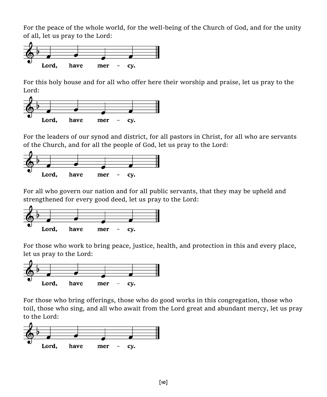For the peace of the whole world, for the well-being of the Church of God, and for the unity of all, let us pray to the Lord:



For this holy house and for all who offer here their worship and praise, let us pray to the Lord:



For the leaders of our synod and district, for all pastors in Christ, for all who are servants of the Church, and for all the people of God, let us pray to the Lord:



For all who govern our nation and for all public servants, that they may be upheld and strengthened for every good deed, let us pray to the Lord:



For those who work to bring peace, justice, health, and protection in this and every place, let us pray to the Lord:



For those who bring offerings, those who do good works in this congregation, those who toil, those who sing, and all who await from the Lord great and abundant mercy, let us pray to the Lord:

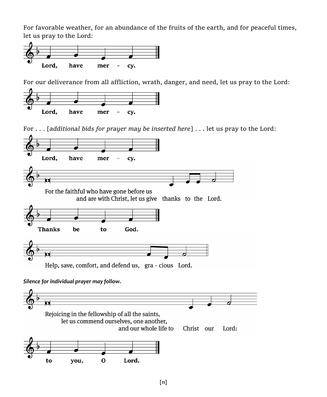For favorable weather, for an abundance of the fruits of the earth, and for peaceful times, let us pray to the Lord:



For our deliverance from all affliction, wrath, danger, and need, let us pray to the Lord:



For . . . [*additional bids for prayer may be inserted here*] . . . let us pray to the Lord:

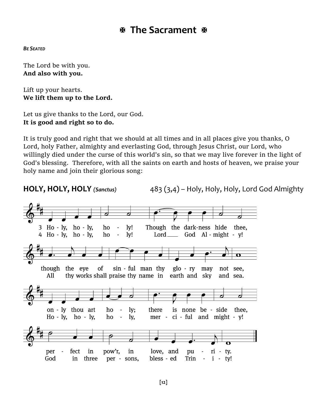# **The Sacrament**

*BE SEATED*

The Lord be with you. **And also with you.**

Lift up your hearts. **We lift them up to the Lord.**

Let us give thanks to the Lord, our God. **It is good and right so to do.**

It is truly good and right that we should at all times and in all places give you thanks, O Lord, holy Father, almighty and everlasting God, through Jesus Christ, our Lord, who willingly died under the curse of this world's sin, so that we may live forever in the light of God's blessing. Therefore, with all the saints on earth and hosts of heaven, we praise your holy name and join their glorious song:

**HOLY, HOLY, HOLY** *(Sanctus)* 483 (3,4) – Holy, Holy, Holy, Lord God Almighty3 Ho - ly, ho - ly, Though the dark-ness hide ho ly! thee.  $4$  Ho - lv, ho - lv, ho  $Iv!$ God Al - might - v!  $\sim$  $Lord$  \_\_\_\_\_\_  $\bullet$ the eve of sin - ful man thy  $g$ lo - ry may though not see. thy works shall praise thy name in earth and sky All and sea. on - ly thou art  $1v:$ there is none be - side thee. ho ÷,  $Ho - ly$ ,  $ho - ly$ , ho  $\ddot{\phantom{a}}$ lv. mer  $ci$  - ful and might -  $v!$ love. and per fect in pow'r, in pu  $ri - ty.$ God in three per - sons, bless - ed Trin  $i - ty!$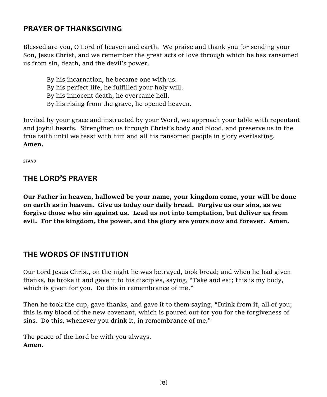# **PRAYER OF THANKSGIVING**

Blessed are you, O Lord of heaven and earth. We praise and thank you for sending your Son, Jesus Christ, and we remember the great acts of love through which he has ransomed us from sin, death, and the devil's power.

By his incarnation, he became one with us. By his perfect life, he fulfilled your holy will. By his innocent death, he overcame hell. By his rising from the grave, he opened heaven.

Invited by your grace and instructed by your Word, we approach your table with repentant and joyful hearts. Strengthen us through Christ's body and blood, and preserve us in the true faith until we feast with him and all his ransomed people in glory everlasting. **Amen.**

*STAND*

# **THE LORD'S PRAYER**

**Our Father in heaven, hallowed be your name, your kingdom come, your will be done on earth as in heaven. Give us today our daily bread. Forgive us our sins, as we forgive those who sin against us. Lead us not into temptation, but deliver us from evil. For the kingdom, the power, and the glory are yours now and forever. Amen.** 

# **THE WORDS OF INSTITUTION**

Our Lord Jesus Christ, on the night he was betrayed, took bread; and when he had given thanks, he broke it and gave it to his disciples, saying, "Take and eat; this is my body, which is given for you. Do this in remembrance of me."

Then he took the cup, gave thanks, and gave it to them saying, "Drink from it, all of you; this is my blood of the new covenant, which is poured out for you for the forgiveness of sins. Do this, whenever you drink it, in remembrance of me."

The peace of the Lord be with you always. **Amen.**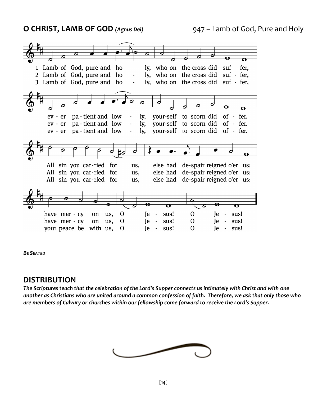**O CHRIST, LAMB OF GOD** *(Agnus Dei)* 947 – Lamb of God, Pure and Holy



*BE SEATED*

## **DISTRIBUTION**

*The Scriptures teach that the celebration of the Lord's Supper connects us intimately with Christ and with one another as Christians who are united around a common confession of faith. Therefore, we ask that only those who are members of Calvary or churches within our fellowship come forward to receive the Lord's Supper.*

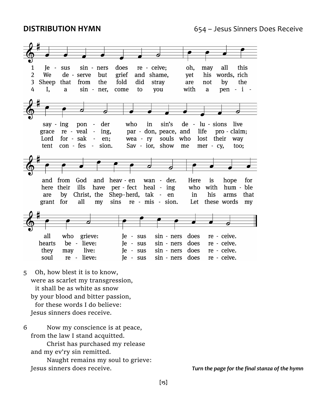

- 5 Oh, how blest it is to know, were as scarlet my transgression, it shall be as white as snow by your blood and bitter passion, for these words I do believe: Jesus sinners does receive.
- 6 Now my conscience is at peace, from the law I stand acquitted.
	- Christ has purchased my release and my ev'ry sin remitted.
	- Naught remains my soul to grieve: Jesus sinners does receive. *Turn the page for the final stanza of the hymn*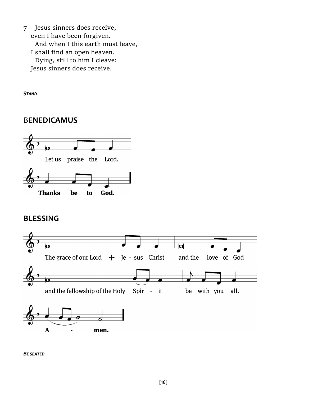7 Jesus sinners does receive, even I have been forgiven. And when I this earth must leave, I shall find an open heaven. Dying, still to him I cleave: Jesus sinners does receive.

*STAND*

# B**ENEDICAMUS**



# **BLESSING**



*BE SEATED*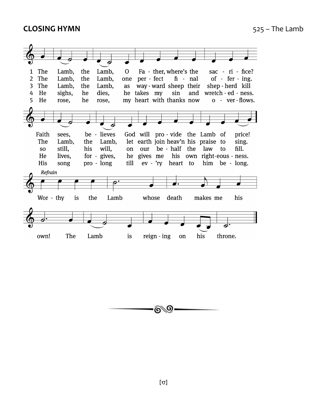## **CLOSING HYMN** 525 – The Lamb



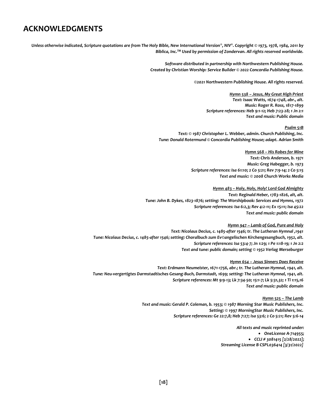# **ACKNOWLEDGMENTS**

*Unless otherwise indicated, Scripture quotations are from The Holy Bible, New International Version®, NIV®. Copyright © 1973, 1978, 1984, 2011 by Biblica, Inc.TM Used by permission of Zondervan. All rights reserved worldwide.*

> *Software distributed in partnership with Northwestern Publishing House. Created by Christian Worship: Service Builder © 2022 Concordia Publishing House.*

> > *©2021 Northwestern Publishing House. All rights reserved.*

*Hymn 538 – Jesus, My Great High Priest Text: Isaac Watts, 1674-1748, abr., alt. Music: Roger R. Ross, 1817-1899 Scripture references: Heb 9:1-12; Heb 7:23-28; 1 Jn 2:1 Text and music: Public domain*

#### *Psalm 51B*

*Text: © 1987 Christopher L. Webber, admin. Church Publishing, Inc. Tune: Donald Rotermund © Concordia Publishing House; adapt. Adrian Smith*

*Hymn 568 – His Robes for Mine*

*Text: Chris Anderson, b. 1971 Music: Greg Habegger, b. 1973 Scripture references: Isa 61:10; 2 Co 5:21; Rev 7:9-14; 2 Co 5:15 Text and music: © 2008 Church Works Media*

*Hymn 483 – Holy, Holy, Holy! Lord God Almighty*

*Text: Reginald Heber, 1783-1826, alt, alt. Tune: John B. Dykes, 1823-1876; setting: The Worshipbook: Services and Hymns, 1972 Scripture references: Isa 6:2,3; Rev 4:2-11; Ex 15:11; Isa 45:22 Text and music: public domain*

#### *Hymn 947 – Lamb of God, Pure and Holy*

*Text: Nicolaus Decius, c. 1485-after 1546; tr. The Lutheran Hymnal ,1941 Tune: Nicolaus Decius, c. 1485-after 1546; setting: Choralbuch zum Ev©angelischen Kirchengesangbuch, 1952, alt. Scripture references: Isa 53:4-7; Jn 1:29; 1 Pe 1:18-19; 1 Jn 2:2 Text and tune: public domain; setting © 1952 Verlag Merseburger*

#### *Hymn 654 – Jesus Sinners Does Receive*

*Text: Erdmann Neumeister, 1671-1756, abr.; tr. The Lutheran Hymnal, 1941, alt. Tune: Neu-vergertigtes Darmstadtisches Gesang-Buch, Darmstadt, 1699; setting: The Lutheran Hymnal, 1941, alt. Scripture references: Mt 9:9-13; Lk 7:34-50; 15:1-7; Lk 5:31,32; 1 Ti 1:15,16 Text and music: public domain*

*Hymn 525 – The Lamb*

*Text and music: Gerald P. Coleman, b. 1953; © 1987 Morning Star Music Publishers, Inc. Setting: © 1997 MorningStar Music Publishers, Inc. Scripture references: Ge 22:7,8; Heb 7:27; Isa 53:6; 2 Co 5:21; Rev 5:6-14*

> *All texts and music reprinted under:* • *OneLicense A-714955;* • *CCLI # 3081415 [2/28/2022]; Streaming License B CSPL036414 [3/31/2022]*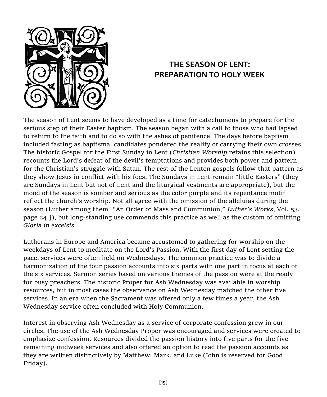

# **THE SEASON OF LENT: PREPARATION TO HOLY WEEK**

The season of Lent seems to have developed as a time for catechumens to prepare for the serious step of their Easter baptism. The season began with a call to those who had lapsed to return to the faith and to do so with the ashes of penitence. The days before baptism included fasting as baptismal candidates pondered the reality of carrying their own crosses. The historic Gospel for the First Sunday in Lent (*Christian Worship* retains this selection) recounts the Lord's defeat of the devil's temptations and provides both power and pattern for the Christian's struggle with Satan. The rest of the Lenten gospels follow that pattern as they show Jesus in conflict with his foes. The Sundays in Lent remain "little Easters" (they are Sundays in Lent but not of Lent and the liturgical vestments are appropriate), but the mood of the season is somber and serious as the color purple and its repentance motif reflect the church's worship. Not all agree with the omission of the alleluias during the season (Luther among them ["An Order of Mass and Communion," *Luther's Works*, Vol. 53, page 24.]), but long-standing use commends this practice as well as the custom of omitting *Gloria in excelsis*.

Lutherans in Europe and America became accustomed to gathering for worship on the weekdays of Lent to meditate on the Lord's Passion. With the first day of Lent setting the pace, services were often held on Wednesdays. The common practice was to divide a harmonization of the four passion accounts into six parts with one part in focus at each of the six services. Sermon series based on various themes of the passion were at the ready for busy preachers. The historic Proper for Ash Wednesday was available in worship resources, but in most cases the observance on Ash Wednesday matched the other five services. In an era when the Sacrament was offered only a few times a year, the Ash Wednesday service often concluded with Holy Communion.

Interest in observing Ash Wednesday as a service of corporate confession grew in our circles. The use of the Ash Wednesday Proper was encouraged and services were created to emphasize confession. Resources divided the passion history into five parts for the five remaining midweek services and also offered an option to read the passion accounts as they are written distinctively by Matthew, Mark, and Luke (John is reserved for Good Friday).